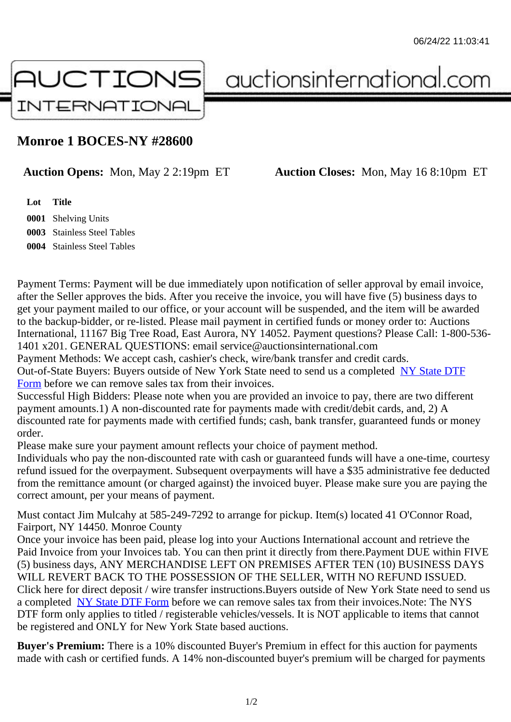## Monroe 1 BOCES-NY #28600

Auction Opens: Mon, May 2 2:19pm ET Auction Closes: Mon, May 16 8:10pm ET

Lot Title Shelving Units Stainless Steel Tables Stainless Steel Tables

Payment Terms: Payment will be due immediately upon notification of seller approval by email invoice, after the Seller approves the bids. After you receive the invoice, you will have five (5) business days to get your payment mailed to our office, or your account will be suspended, and the item will be awarded to the backup-bidder, or re-listed. Please mail payment in certified funds or money order to: Auctions International, 11167 Big Tree Road, East Aurora, NY 14052. Payment questions? Please Call: 1-800-53 1401 x201. GENERAL QUESTIONS: email service@auctionsinternational.com

Payment Methods: We accept cash, cashier's check, wire/bank transfer and credit cards. Out-of-State Buyers: Buyers outside of New York State need to send us a com blestate DTF Form before we can remove sales tax from their invoices.

Successful High Bidders: Please note when you are provided an invoice to pay, there are two different payment amounts.1) A non-discounted rate for payments made with credit/de[bit cards, and](https://www.auctionsinternational.com/auxiliary/downloads/DTF_Form/dtf_fill_in.pdf), 2) A [disco](https://www.auctionsinternational.com/auxiliary/downloads/DTF_Form/dtf_fill_in.pdf)unted rate for payments made with certified funds; cash, bank transfer, quaranteed funds or mone order.

Please make sure your payment amount reflects your choice of payment method.

Individuals who pay the non-discounted rate with cash or quaranteed funds will have a one-time, courte refund issued for the overpayment. Subsequent overpayments will have a \$35 administrative fee deduc from the remittance amount (or charged against) the invoiced buyer. Please make sure you are paying correct amount, per your means of payment.

Must contact Jim Mulcahy at 585-249-7292 to arrange for pickup. Item(s) located 41 O'Connor Road, Fairport, NY 14450. Monroe County

Once your invoice has been paid, please log into your Auctions International account and retrieve the Paid Invoice from your Invoices tab. You can then print it directly from there.Payment DUE within FIVE (5) business days, ANY MERCHANDISE LEFT ON PREMISES AFTER TEN (10) BUSINESS DAYS WILL REVERT BACK TO THE POSSESSION OF THE SELLER, WITH NO REFUND ISSUED. Click here for direct deposit / wire transfer instructions. Buyers outside of New York State need to send use a completed NY State DTF Form before we can remove sales tax from their invoices. Note: The NYS DTF form only applies to titled / registerable vehicles/vessels. It is NOT applicable to items that cannot be registered and ONLY for New York State based auctions.

Buyer's Pre[mium: There is a 10](https://www.auctionsinternational.com/auxiliary/downloads/DTF_Form/dtf_fill_in.pdf)% discounted Buyer's Premium in effect for this auction for payments made with cash or certified funds. A 14% non-discounted buyer's premium will be charged for payments